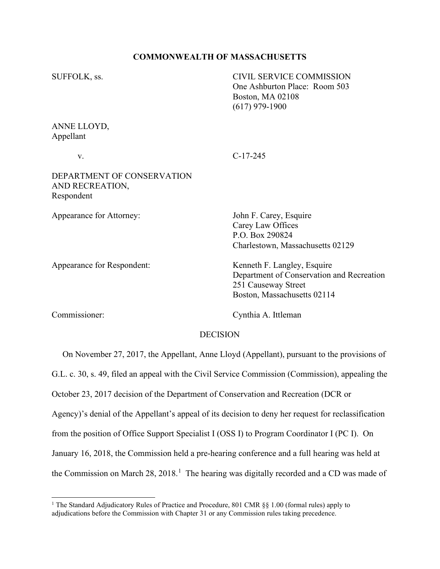### **COMMONWEALTH OF MASSACHUSETTS**

SUFFOLK, ss. CIVIL SERVICE COMMISSION One Ashburton Place: Room 503 Boston, MA 02108 (617) 979-1900 ANNE LLOYD, Appellant v. C-17-245 DEPARTMENT OF CONSERVATION AND RECREATION, Respondent Appearance for Attorney: John F. Carey, Esquire Carey Law Offices P.O. Box 290824 Charlestown, Massachusetts 02129 Appearance for Respondent: Kenneth F. Langley, Esquire Department of Conservation and Recreation 251 Causeway Street

Commissioner: Cynthia A. Ittleman

Boston, Massachusetts 02114

### DECISION

 On November 27, 2017, the Appellant, Anne Lloyd (Appellant), pursuant to the provisions of G.L. c. 30, s. 49, filed an appeal with the Civil Service Commission (Commission), appealing the October 23, 2017 decision of the Department of Conservation and Recreation (DCR or Agency)'s denial of the Appellant's appeal of its decision to deny her request for reclassification from the position of Office Support Specialist I (OSS I) to Program Coordinator I (PC I). On January 16, 2018, the Commission held a pre-hearing conference and a full hearing was held at the Commission on March  $28$ ,  $2018$  $2018$  $2018$ .<sup>1</sup> The hearing was digitally recorded and a CD was made of

<span id="page-0-0"></span><sup>&</sup>lt;sup>1</sup> The Standard Adjudicatory Rules of Practice and Procedure, 801 CMR §§ 1.00 (formal rules) apply to adjudications before the Commission with Chapter 31 or any Commission rules taking precedence.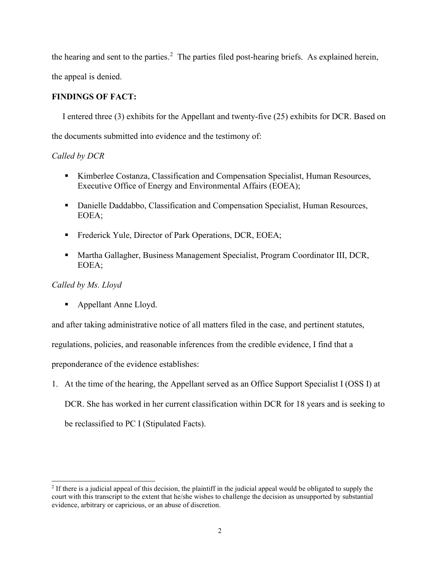the hearing and sent to the parties.<sup>[2](#page-1-0)</sup> The parties filed post-hearing briefs. As explained herein,

the appeal is denied.

## **FINDINGS OF FACT:**

I entered three (3) exhibits for the Appellant and twenty-five (25) exhibits for DCR. Based on the documents submitted into evidence and the testimony of:

# *Called by DCR*

- Kimberlee Costanza, Classification and Compensation Specialist, Human Resources, Executive Office of Energy and Environmental Affairs (EOEA);
- Danielle Daddabbo, Classification and Compensation Specialist, Human Resources, EOEA;
- Frederick Yule, Director of Park Operations, DCR, EOEA;
- Martha Gallagher, Business Management Specialist, Program Coordinator III, DCR, EOEA;

# *Called by Ms. Lloyd*

■ Appellant Anne Lloyd.

and after taking administrative notice of all matters filed in the case, and pertinent statutes,

regulations, policies, and reasonable inferences from the credible evidence, I find that a

preponderance of the evidence establishes:

1. At the time of the hearing, the Appellant served as an Office Support Specialist I (OSS I) at DCR. She has worked in her current classification within DCR for 18 years and is seeking to be reclassified to PC I (Stipulated Facts).

<span id="page-1-0"></span><sup>&</sup>lt;sup>2</sup> If there is a judicial appeal of this decision, the plaintiff in the judicial appeal would be obligated to supply the court with this transcript to the extent that he/she wishes to challenge the decision as unsupported by substantial evidence, arbitrary or capricious, or an abuse of discretion.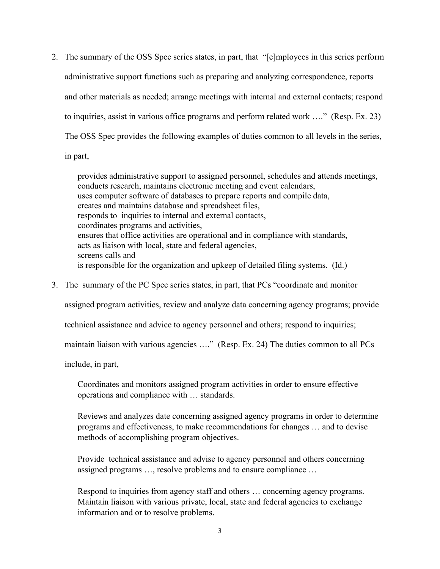2. The summary of the OSS Spec series states, in part, that "[e]mployees in this series perform administrative support functions such as preparing and analyzing correspondence, reports and other materials as needed; arrange meetings with internal and external contacts; respond to inquiries, assist in various office programs and perform related work …." (Resp. Ex. 23) The OSS Spec provides the following examples of duties common to all levels in the series,

in part,

provides administrative support to assigned personnel, schedules and attends meetings, conducts research, maintains electronic meeting and event calendars, uses computer software of databases to prepare reports and compile data, creates and maintains database and spreadsheet files, responds to inquiries to internal and external contacts, coordinates programs and activities, ensures that office activities are operational and in compliance with standards, acts as liaison with local, state and federal agencies, screens calls and is responsible for the organization and upkeep of detailed filing systems. (Id.)

3. The summary of the PC Spec series states, in part, that PCs "coordinate and monitor

assigned program activities, review and analyze data concerning agency programs; provide

technical assistance and advice to agency personnel and others; respond to inquiries;

maintain liaison with various agencies ...." (Resp. Ex. 24) The duties common to all PCs

include, in part,

Coordinates and monitors assigned program activities in order to ensure effective operations and compliance with … standards.

Reviews and analyzes date concerning assigned agency programs in order to determine programs and effectiveness, to make recommendations for changes … and to devise methods of accomplishing program objectives.

Provide technical assistance and advise to agency personnel and others concerning assigned programs …, resolve problems and to ensure compliance …

Respond to inquiries from agency staff and others … concerning agency programs. Maintain liaison with various private, local, state and federal agencies to exchange information and or to resolve problems.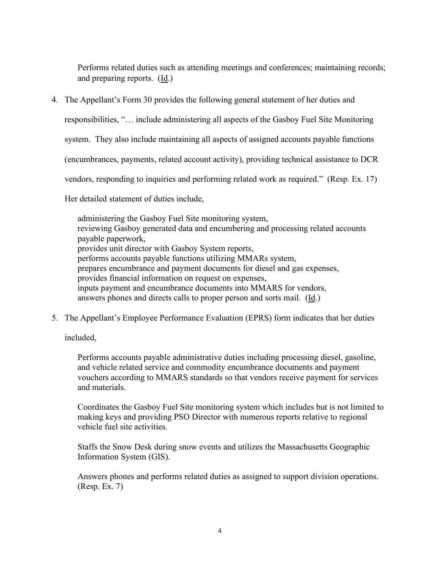Performs related duties such as attending meetings and conferences; maintaining records; and preparing reports. (Id.)

4. The Appellant's Form 30 provides the following general statement of her duties and

responsibilities, "… include administering all aspects of the Gasboy Fuel Site Monitoring

system. They also include maintaining all aspects of assigned accounts payable functions

(encumbrances, payments, related account activity), providing technical assistance to DCR

vendors, responding to inquiries and performing related work as required." (Resp. Ex. 17)

Her detailed statement of duties include,

administering the Gasboy Fuel Site monitoring system, reviewing Gasboy generated data and encumbering and processing related accounts payable paperwork, provides unit director with Gasboy System reports, performs accounts payable functions utilizing MMARs system, prepares encumbrance and payment documents for diesel and gas expenses, provides financial information on request on expenses, inputs payment and encumbrance documents into MMARS for vendors, answers phones and directs calls to proper person and sorts mail. (Id.)

5. The Appellant's Employee Performance Evaluation (EPRS) form indicates that her duties

included,

Performs accounts payable administrative duties including processing diesel, gasoline, and vehicle related service and commodity encumbrance documents and payment vouchers according to MMARS standards so that vendors receive payment for services and materials.

Coordinates the Gasboy Fuel Site monitoring system which includes but is not limited to making keys and providing PSO Director with numerous reports relative to regional vehicle fuel site activities.

Staffs the Snow Desk during snow events and utilizes the Massachusetts Geographic Information System (GIS).

Answers phones and performs related duties as assigned to support division operations. (Resp. Ex. 7)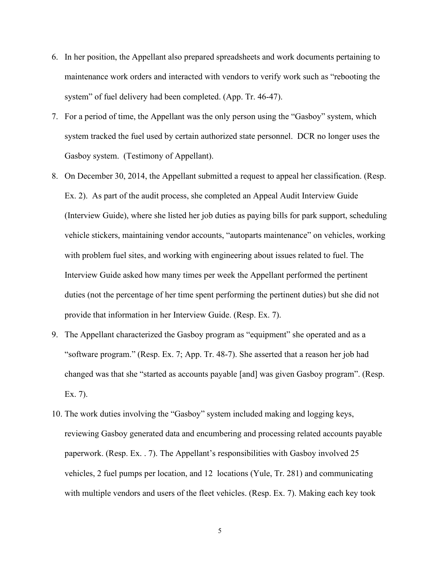- 6. In her position, the Appellant also prepared spreadsheets and work documents pertaining to maintenance work orders and interacted with vendors to verify work such as "rebooting the system" of fuel delivery had been completed. (App. Tr. 46-47).
- 7. For a period of time, the Appellant was the only person using the "Gasboy" system, which system tracked the fuel used by certain authorized state personnel. DCR no longer uses the Gasboy system. (Testimony of Appellant).
- 8. On December 30, 2014, the Appellant submitted a request to appeal her classification. (Resp. Ex. 2). As part of the audit process, she completed an Appeal Audit Interview Guide (Interview Guide), where she listed her job duties as paying bills for park support, scheduling vehicle stickers, maintaining vendor accounts, "autoparts maintenance" on vehicles, working with problem fuel sites, and working with engineering about issues related to fuel. The Interview Guide asked how many times per week the Appellant performed the pertinent duties (not the percentage of her time spent performing the pertinent duties) but she did not provide that information in her Interview Guide. (Resp. Ex. 7).
- 9. The Appellant characterized the Gasboy program as "equipment" she operated and as a "software program." (Resp. Ex. 7; App. Tr. 48-7). She asserted that a reason her job had changed was that she "started as accounts payable [and] was given Gasboy program". (Resp. Ex. 7).
- 10. The work duties involving the "Gasboy" system included making and logging keys, reviewing Gasboy generated data and encumbering and processing related accounts payable paperwork. (Resp. Ex. . 7). The Appellant's responsibilities with Gasboy involved 25 vehicles, 2 fuel pumps per location, and 12 locations (Yule, Tr. 281) and communicating with multiple vendors and users of the fleet vehicles. (Resp. Ex. 7). Making each key took

5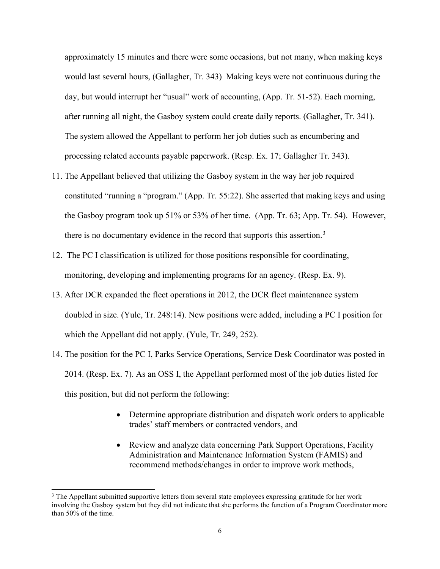approximately 15 minutes and there were some occasions, but not many, when making keys would last several hours, (Gallagher, Tr. 343) Making keys were not continuous during the day, but would interrupt her "usual" work of accounting, (App. Tr. 51-52). Each morning, after running all night, the Gasboy system could create daily reports. (Gallagher, Tr. 341). The system allowed the Appellant to perform her job duties such as encumbering and processing related accounts payable paperwork. (Resp. Ex. 17; Gallagher Tr. 343).

- 11. The Appellant believed that utilizing the Gasboy system in the way her job required constituted "running a "program." (App. Tr. 55:22). She asserted that making keys and using the Gasboy program took up 51% or 53% of her time. (App. Tr. 63; App. Tr. 54). However, there is no documentary evidence in the record that supports this assertion.<sup>[3](#page-5-0)</sup>
- 12. The PC I classification is utilized for those positions responsible for coordinating, monitoring, developing and implementing programs for an agency. (Resp. Ex. 9).
- 13. After DCR expanded the fleet operations in 2012, the DCR fleet maintenance system doubled in size. (Yule, Tr. 248:14). New positions were added, including a PC I position for which the Appellant did not apply. (Yule, Tr. 249, 252).
- 14. The position for the PC I, Parks Service Operations, Service Desk Coordinator was posted in 2014. (Resp. Ex. 7). As an OSS I, the Appellant performed most of the job duties listed for this position, but did not perform the following:
	- Determine appropriate distribution and dispatch work orders to applicable trades' staff members or contracted vendors, and
	- Review and analyze data concerning Park Support Operations, Facility Administration and Maintenance Information System (FAMIS) and recommend methods/changes in order to improve work methods,

<span id="page-5-0"></span><sup>&</sup>lt;sup>3</sup> The Appellant submitted supportive letters from several state employees expressing gratitude for her work involving the Gasboy system but they did not indicate that she performs the function of a Program Coordinator more than 50% of the time.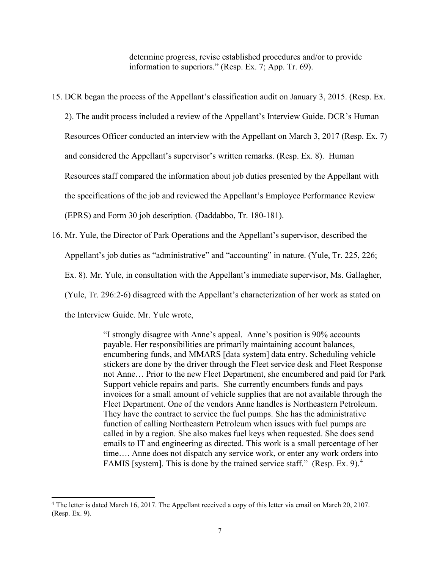determine progress, revise established procedures and/or to provide information to superiors." (Resp. Ex. 7; App. Tr. 69).

15. DCR began the process of the Appellant's classification audit on January 3, 2015. (Resp. Ex.

2). The audit process included a review of the Appellant's Interview Guide. DCR's Human Resources Officer conducted an interview with the Appellant on March 3, 2017 (Resp. Ex. 7) and considered the Appellant's supervisor's written remarks. (Resp. Ex. 8). Human Resources staff compared the information about job duties presented by the Appellant with the specifications of the job and reviewed the Appellant's Employee Performance Review (EPRS) and Form 30 job description. (Daddabbo, Tr. 180-181).

16. Mr. Yule, the Director of Park Operations and the Appellant's supervisor, described the Appellant's job duties as "administrative" and "accounting" in nature. (Yule, Tr. 225, 226; Ex. 8). Mr. Yule, in consultation with the Appellant's immediate supervisor, Ms. Gallagher, (Yule, Tr. 296:2-6) disagreed with the Appellant's characterization of her work as stated on the Interview Guide. Mr. Yule wrote,

> "I strongly disagree with Anne's appeal. Anne's position is 90% accounts payable. Her responsibilities are primarily maintaining account balances, encumbering funds, and MMARS [data system] data entry. Scheduling vehicle stickers are done by the driver through the Fleet service desk and Fleet Response not Anne… Prior to the new Fleet Department, she encumbered and paid for Park Support vehicle repairs and parts. She currently encumbers funds and pays invoices for a small amount of vehicle supplies that are not available through the Fleet Department. One of the vendors Anne handles is Northeastern Petroleum. They have the contract to service the fuel pumps. She has the administrative function of calling Northeastern Petroleum when issues with fuel pumps are called in by a region. She also makes fuel keys when requested. She does send emails to IT and engineering as directed. This work is a small percentage of her time…. Anne does not dispatch any service work, or enter any work orders into FAMIS [system]. This is done by the trained service staff." (Resp. Ex. 9).<sup>[4](#page-6-0)</sup>

<span id="page-6-0"></span><sup>4</sup> The letter is dated March 16, 2017. The Appellant received a copy of this letter via email on March 20, 2107. (Resp. Ex. 9).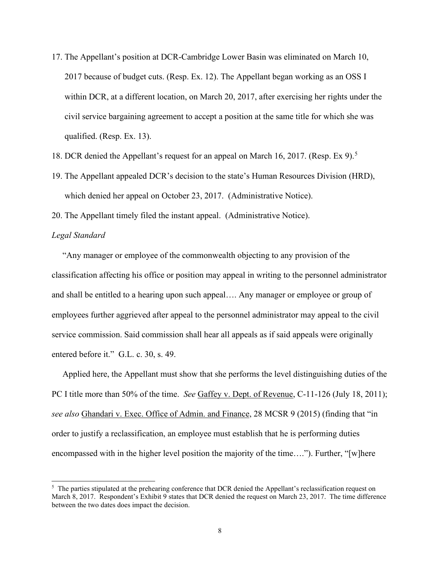- 17. The Appellant's position at DCR-Cambridge Lower Basin was eliminated on March 10, 2017 because of budget cuts. (Resp. Ex. 12). The Appellant began working as an OSS I within DCR, at a different location, on March 20, 2017, after exercising her rights under the civil service bargaining agreement to accept a position at the same title for which she was qualified. (Resp. Ex. 13).
- 18. DCR denied the Appellant's request for an appeal on March 16, 2017. (Resp. Ex 9).<sup>[5](#page-7-0)</sup>
- 19. The Appellant appealed DCR's decision to the state's Human Resources Division (HRD), which denied her appeal on October 23, 2017. (Administrative Notice).
- 20. The Appellant timely filed the instant appeal. (Administrative Notice).

### *Legal Standard*

 "Any manager or employee of the commonwealth objecting to any provision of the classification affecting his office or position may appeal in writing to the personnel administrator and shall be entitled to a hearing upon such appeal…. Any manager or employee or group of employees further aggrieved after appeal to the personnel administrator may appeal to the civil service commission. Said commission shall hear all appeals as if said appeals were originally entered before it." G.L. c. 30, s. 49.

 Applied here, the Appellant must show that she performs the level distinguishing duties of the PC I title more than 50% of the time. *See* Gaffey v. Dept. of Revenue, C-11-126 (July 18, 2011); *see also* Ghandari v. Exec. Office of Admin. and Finance, 28 MCSR 9 (2015) (finding that "in order to justify a reclassification, an employee must establish that he is performing duties encompassed with in the higher level position the majority of the time…."). Further, "[w]here

<span id="page-7-0"></span> $<sup>5</sup>$  The parties stipulated at the prehearing conference that DCR denied the Appellant's reclassification request on</sup> March 8, 2017. Respondent's Exhibit 9 states that DCR denied the request on March 23, 2017. The time difference between the two dates does impact the decision.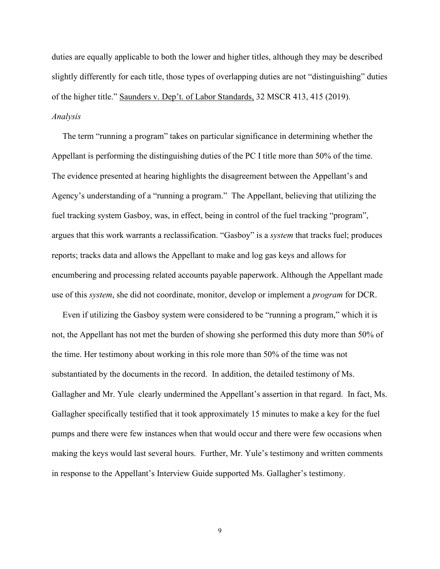duties are equally applicable to both the lower and higher titles, although they may be described slightly differently for each title, those types of overlapping duties are not "distinguishing" duties of the higher title." Saunders v. Dep't. of Labor Standards, 32 MSCR 413, 415 (2019). *Analysis*

The term "running a program" takes on particular significance in determining whether the Appellant is performing the distinguishing duties of the PC I title more than 50% of the time. The evidence presented at hearing highlights the disagreement between the Appellant's and Agency's understanding of a "running a program." The Appellant, believing that utilizing the fuel tracking system Gasboy, was, in effect, being in control of the fuel tracking "program", argues that this work warrants a reclassification. "Gasboy" is a *system* that tracks fuel; produces reports; tracks data and allows the Appellant to make and log gas keys and allows for encumbering and processing related accounts payable paperwork. Although the Appellant made use of this *system*, she did not coordinate, monitor, develop or implement a *program* for DCR.

 Even if utilizing the Gasboy system were considered to be "running a program," which it is not, the Appellant has not met the burden of showing she performed this duty more than 50% of the time. Her testimony about working in this role more than 50% of the time was not substantiated by the documents in the record. In addition, the detailed testimony of Ms. Gallagher and Mr. Yule clearly undermined the Appellant's assertion in that regard. In fact, Ms. Gallagher specifically testified that it took approximately 15 minutes to make a key for the fuel pumps and there were few instances when that would occur and there were few occasions when making the keys would last several hours. Further, Mr. Yule's testimony and written comments in response to the Appellant's Interview Guide supported Ms. Gallagher's testimony.

9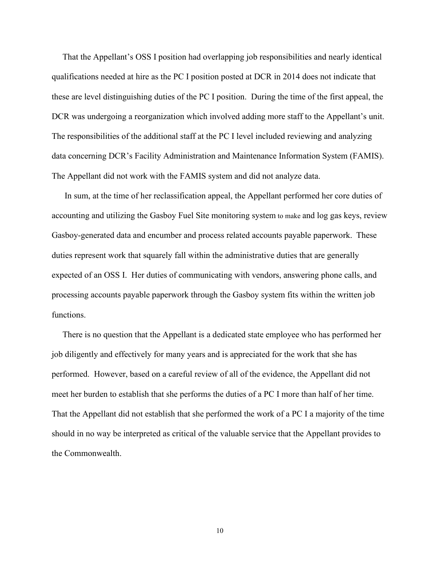That the Appellant's OSS I position had overlapping job responsibilities and nearly identical qualifications needed at hire as the PC I position posted at DCR in 2014 does not indicate that these are level distinguishing duties of the PC I position. During the time of the first appeal, the DCR was undergoing a reorganization which involved adding more staff to the Appellant's unit. The responsibilities of the additional staff at the PC I level included reviewing and analyzing data concerning DCR's Facility Administration and Maintenance Information System (FAMIS). The Appellant did not work with the FAMIS system and did not analyze data.

 In sum, at the time of her reclassification appeal, the Appellant performed her core duties of accounting and utilizing the Gasboy Fuel Site monitoring system to make and log gas keys, review Gasboy-generated data and encumber and process related accounts payable paperwork. These duties represent work that squarely fall within the administrative duties that are generally expected of an OSS I. Her duties of communicating with vendors, answering phone calls, and processing accounts payable paperwork through the Gasboy system fits within the written job functions.

 There is no question that the Appellant is a dedicated state employee who has performed her job diligently and effectively for many years and is appreciated for the work that she has performed. However, based on a careful review of all of the evidence, the Appellant did not meet her burden to establish that she performs the duties of a PC I more than half of her time. That the Appellant did not establish that she performed the work of a PC I a majority of the time should in no way be interpreted as critical of the valuable service that the Appellant provides to the Commonwealth.

10